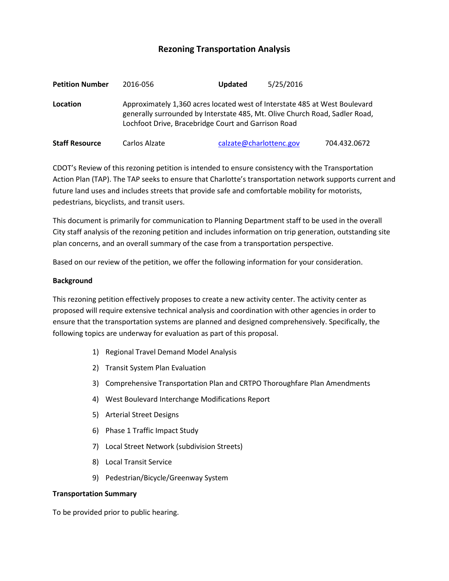# **Rezoning Transportation Analysis**

| <b>Petition Number</b> | 2016-056                                                                                                                                                                                                         | <b>Updated</b> | 5/25/2016               |              |  |
|------------------------|------------------------------------------------------------------------------------------------------------------------------------------------------------------------------------------------------------------|----------------|-------------------------|--------------|--|
| Location               | Approximately 1,360 acres located west of Interstate 485 at West Boulevard<br>generally surrounded by Interstate 485, Mt. Olive Church Road, Sadler Road,<br>Lochfoot Drive, Bracebridge Court and Garrison Road |                |                         |              |  |
| <b>Staff Resource</b>  | Carlos Alzate                                                                                                                                                                                                    |                | calzate@charlottenc.gov | 704.432.0672 |  |

CDOT's Review of this rezoning petition is intended to ensure consistency with the Transportation Action Plan (TAP). The TAP seeks to ensure that Charlotte's transportation network supports current and future land uses and includes streets that provide safe and comfortable mobility for motorists, pedestrians, bicyclists, and transit users.

This document is primarily for communication to Planning Department staff to be used in the overall City staff analysis of the rezoning petition and includes information on trip generation, outstanding site plan concerns, and an overall summary of the case from a transportation perspective.

Based on our review of the petition, we offer the following information for your consideration.

#### **Background**

This rezoning petition effectively proposes to create a new activity center. The activity center as proposed will require extensive technical analysis and coordination with other agencies in order to ensure that the transportation systems are planned and designed comprehensively. Specifically, the following topics are underway for evaluation as part of this proposal.

- 1) Regional Travel Demand Model Analysis
- 2) Transit System Plan Evaluation
- 3) Comprehensive Transportation Plan and CRTPO Thoroughfare Plan Amendments
- 4) West Boulevard Interchange Modifications Report
- 5) Arterial Street Designs
- 6) Phase 1 Traffic Impact Study
- 7) Local Street Network (subdivision Streets)
- 8) Local Transit Service
- 9) Pedestrian/Bicycle/Greenway System

#### **Transportation Summary**

To be provided prior to public hearing.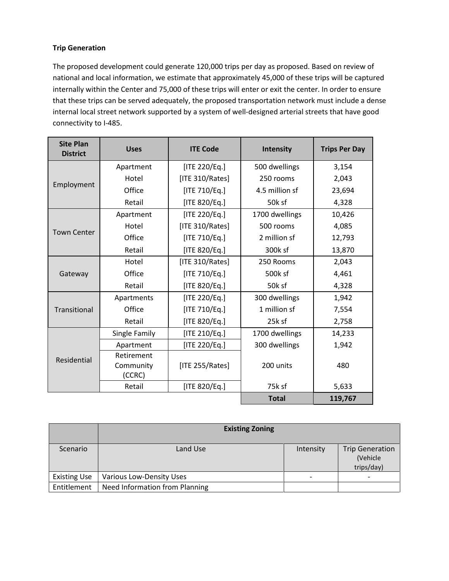### **Trip Generation**

The proposed development could generate 120,000 trips per day as proposed. Based on review of national and local information, we estimate that approximately 45,000 of these trips will be captured internally within the Center and 75,000 of these trips will enter or exit the center. In order to ensure that these trips can be served adequately, the proposed transportation network must include a dense internal local street network supported by a system of well-designed arterial streets that have good connectivity to I-485.

| <b>Site Plan</b><br><b>District</b> | <b>Uses</b>         | <b>ITE Code</b>    | Intensity      | <b>Trips Per Day</b> |
|-------------------------------------|---------------------|--------------------|----------------|----------------------|
| Employment                          | Apartment           | [ITE 220/Eq.]      | 500 dwellings  | 3,154                |
|                                     | Hotel               | [ITE 310/Rates]    | 250 rooms      | 2,043                |
|                                     | Office              | [ITE 710/Eq.]      | 4.5 million sf | 23,694               |
|                                     | Retail              | [ITE 820/Eq.]      | 50k sf         | 4,328                |
| <b>Town Center</b>                  | Apartment           | [ITE 220/Eq.]      | 1700 dwellings | 10,426               |
|                                     | Hotel               | [ITE 310/Rates]    | 500 rooms      | 4,085                |
|                                     | Office              | [ITE 710/Eq.]      | 2 million sf   | 12,793               |
|                                     | Retail              | [ITE 820/Eq.]      | 300k sf        | 13,870               |
| Gateway                             | Hotel               | [ITE 310/Rates]    | 250 Rooms      | 2,043                |
|                                     | Office              | [ITE 710/Eq.]      | 500k sf        | 4,461                |
|                                     | Retail              | [ITE 820/Eq.]      | 50k sf         | 4,328                |
| Transitional                        | Apartments          | [ITE 220/Eq.]      | 300 dwellings  | 1,942                |
|                                     | Office              | [ITE 710/Eq.]      | 1 million sf   | 7,554                |
|                                     | Retail              | [ITE 820/Eq.]      | 25k sf         | 2,758                |
| Residential                         | Single Family       | [ITE 210/Eq.]      | 1700 dwellings | 14,233               |
|                                     | Apartment           | [ITE 220/Eq.]      | 300 dwellings  | 1,942                |
|                                     | Retirement          |                    |                |                      |
|                                     | Community<br>(CCRC) | [ITE $255/Rates$ ] | 200 units      | 480                  |
|                                     | Retail              | [ITE 820/Eq.]      | 75k sf         | 5,633                |
|                                     |                     |                    | <b>Total</b>   | 119,767              |

|                     | <b>Existing Zoning</b>         |           |                                                  |  |
|---------------------|--------------------------------|-----------|--------------------------------------------------|--|
| Scenario            | Land Use                       | Intensity | <b>Trip Generation</b><br>(Vehicle<br>trips/day) |  |
| <b>Existing Use</b> | Various Low-Density Uses       |           |                                                  |  |
| Entitlement         | Need Information from Planning |           |                                                  |  |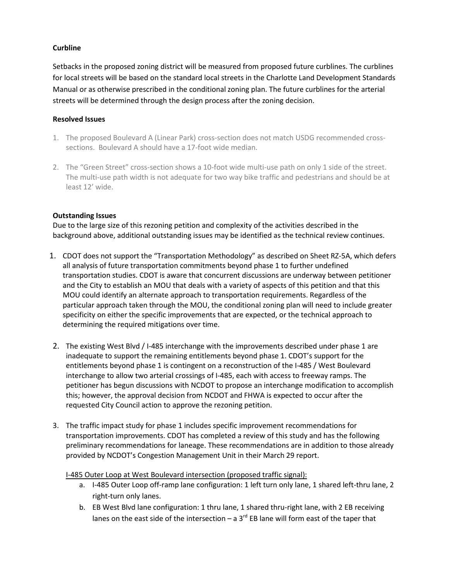## **Curbline**

Setbacks in the proposed zoning district will be measured from proposed future curblines. The curblines for local streets will be based on the standard local streets in the Charlotte Land Development Standards Manual or as otherwise prescribed in the conditional zoning plan. The future curblines for the arterial streets will be determined through the design process after the zoning decision.

#### **Resolved Issues**

- 1. The proposed Boulevard A (Linear Park) cross-section does not match USDG recommended crosssections. Boulevard A should have a 17-foot wide median.
- 2. The "Green Street" cross-section shows a 10-foot wide multi-use path on only 1 side of the street. The multi-use path width is not adequate for two way bike traffic and pedestrians and should be at least 12' wide.

### **Outstanding Issues**

Due to the large size of this rezoning petition and complexity of the activities described in the background above, additional outstanding issues may be identified as the technical review continues.

- 1. CDOT does not support the "Transportation Methodology" as described on Sheet RZ-5A, which defers all analysis of future transportation commitments beyond phase 1 to further undefined transportation studies. CDOT is aware that concurrent discussions are underway between petitioner and the City to establish an MOU that deals with a variety of aspects of this petition and that this MOU could identify an alternate approach to transportation requirements. Regardless of the particular approach taken through the MOU, the conditional zoning plan will need to include greater specificity on either the specific improvements that are expected, or the technical approach to determining the required mitigations over time.
- 2. The existing West Blvd / I-485 interchange with the improvements described under phase 1 are inadequate to support the remaining entitlements beyond phase 1. CDOT's support for the entitlements beyond phase 1 is contingent on a reconstruction of the I-485 / West Boulevard interchange to allow two arterial crossings of I-485, each with access to freeway ramps. The petitioner has begun discussions with NCDOT to propose an interchange modification to accomplish this; however, the approval decision from NCDOT and FHWA is expected to occur after the requested City Council action to approve the rezoning petition.
- 3. The traffic impact study for phase 1 includes specific improvement recommendations for transportation improvements. CDOT has completed a review of this study and has the following preliminary recommendations for laneage. These recommendations are in addition to those already provided by NCDOT's Congestion Management Unit in their March 29 report.

#### I-485 Outer Loop at West Boulevard intersection (proposed traffic signal):

- a. I-485 Outer Loop off-ramp lane configuration: 1 left turn only lane, 1 shared left-thru lane, 2 right-turn only lanes.
- b. EB West Blvd lane configuration: 1 thru lane, 1 shared thru-right lane, with 2 EB receiving lanes on the east side of the intersection – a 3 $^{rd}$  EB lane will form east of the taper that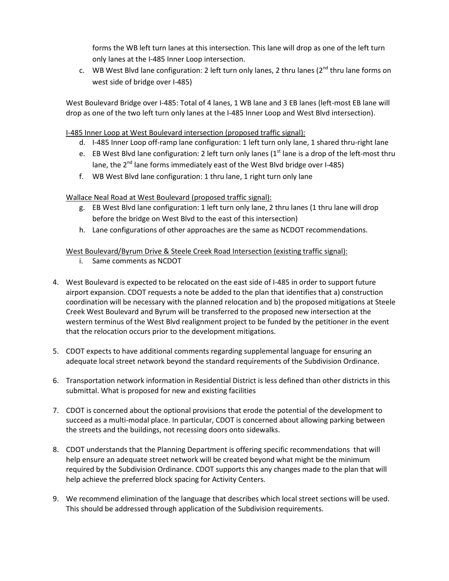forms the WB left turn lanes at this intersection. This lane will drop as one of the left turn only lanes at the I-485 Inner Loop intersection.

c. WB West Blvd lane configuration: 2 left turn only lanes, 2 thru lanes ( $2^{nd}$  thru lane forms on west side of bridge over I-485)

West Boulevard Bridge over I-485: Total of 4 lanes, 1 WB lane and 3 EB lanes (left-most EB lane will drop as one of the two left turn only lanes at the I-485 Inner Loop and West Blvd intersection).

# I-485 Inner Loop at West Boulevard intersection (proposed traffic signal):

- d. I-485 Inner Loop off-ramp lane configuration: 1 left turn only lane, 1 shared thru-right lane
- e. EB West Blvd lane configuration: 2 left turn only lanes  $(1<sup>st</sup>$  lane is a drop of the left-most thru lane, the 2<sup>nd</sup> lane forms immediately east of the West Blvd bridge over I-485)
- f. WB West Blvd lane configuration: 1 thru lane, 1 right turn only lane

# Wallace Neal Road at West Boulevard (proposed traffic signal):

- g. EB West Blvd lane configuration: 1 left turn only lane, 2 thru lanes (1 thru lane will drop before the bridge on West Blvd to the east of this intersection)
- h. Lane configurations of other approaches are the same as NCDOT recommendations.

# West Boulevard/Byrum Drive & Steele Creek Road Intersection (existing traffic signal):

- i. Same comments as NCDOT
- 4. West Boulevard is expected to be relocated on the east side of I-485 in order to support future airport expansion. CDOT requests a note be added to the plan that identifies that a) construction coordination will be necessary with the planned relocation and b) the proposed mitigations at Steele Creek West Boulevard and Byrum will be transferred to the proposed new intersection at the western terminus of the West Blvd realignment project to be funded by the petitioner in the event that the relocation occurs prior to the development mitigations.
- 5. CDOT expects to have additional comments regarding supplemental language for ensuring an adequate local street network beyond the standard requirements of the Subdivision Ordinance.
- 6. Transportation network information in Residential District is less defined than other districts in this submittal. What is proposed for new and existing facilities
- 7. CDOT is concerned about the optional provisions that erode the potential of the development to succeed as a multi-modal place. In particular, CDOT is concerned about allowing parking between the streets and the buildings, not recessing doors onto sidewalks.
- 8. CDOT understands that the Planning Department is offering specific recommendations that will help ensure an adequate street network will be created beyond what might be the minimum required by the Subdivision Ordinance. CDOT supports this any changes made to the plan that will help achieve the preferred block spacing for Activity Centers.
- 9. We recommend elimination of the language that describes which local street sections will be used. This should be addressed through application of the Subdivision requirements.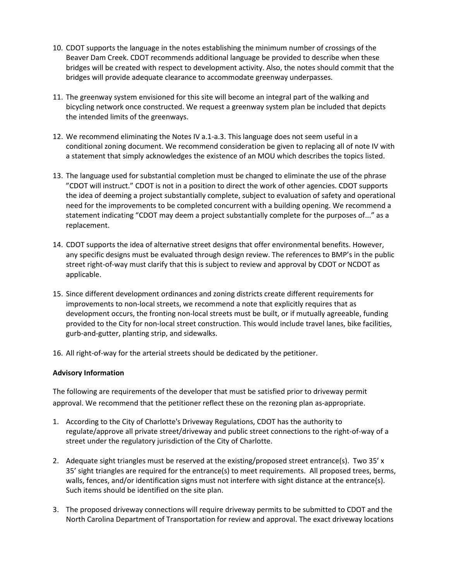- 10. CDOT supports the language in the notes establishing the minimum number of crossings of the Beaver Dam Creek. CDOT recommends additional language be provided to describe when these bridges will be created with respect to development activity. Also, the notes should commit that the bridges will provide adequate clearance to accommodate greenway underpasses.
- 11. The greenway system envisioned for this site will become an integral part of the walking and bicycling network once constructed. We request a greenway system plan be included that depicts the intended limits of the greenways.
- 12. We recommend eliminating the Notes IV a.1-a.3. This language does not seem useful in a conditional zoning document. We recommend consideration be given to replacing all of note IV with a statement that simply acknowledges the existence of an MOU which describes the topics listed.
- 13. The language used for substantial completion must be changed to eliminate the use of the phrase "CDOT will instruct." CDOT is not in a position to direct the work of other agencies. CDOT supports the idea of deeming a project substantially complete, subject to evaluation of safety and operational need for the improvements to be completed concurrent with a building opening. We recommend a statement indicating "CDOT may deem a project substantially complete for the purposes of..." as a replacement.
- 14. CDOT supports the idea of alternative street designs that offer environmental benefits. However, any specific designs must be evaluated through design review. The references to BMP's in the public street right-of-way must clarify that this is subject to review and approval by CDOT or NCDOT as applicable.
- 15. Since different development ordinances and zoning districts create different requirements for improvements to non-local streets, we recommend a note that explicitly requires that as development occurs, the fronting non-local streets must be built, or if mutually agreeable, funding provided to the City for non-local street construction. This would include travel lanes, bike facilities, gurb-and-gutter, planting strip, and sidewalks.
- 16. All right-of-way for the arterial streets should be dedicated by the petitioner.

# **Advisory Information**

The following are requirements of the developer that must be satisfied prior to driveway permit approval. We recommend that the petitioner reflect these on the rezoning plan as-appropriate.

- 1. According to the City of Charlotte's Driveway Regulations, CDOT has the authority to regulate/approve all private street/driveway and public street connections to the right-of-way of a street under the regulatory jurisdiction of the City of Charlotte.
- 2. Adequate sight triangles must be reserved at the existing/proposed street entrance(s). Two 35' x 35' sight triangles are required for the entrance(s) to meet requirements. All proposed trees, berms, walls, fences, and/or identification signs must not interfere with sight distance at the entrance(s). Such items should be identified on the site plan.
- 3. The proposed driveway connections will require driveway permits to be submitted to CDOT and the North Carolina Department of Transportation for review and approval. The exact driveway locations